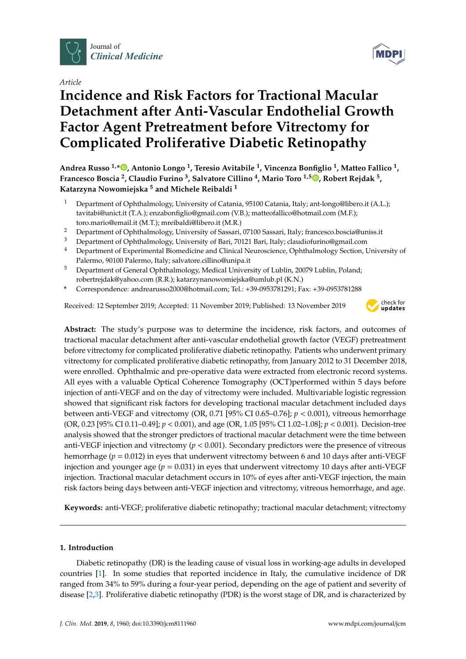

*Article*

# **Incidence and Risk Factors for Tractional Macular Detachment after Anti-Vascular Endothelial Growth Factor Agent Pretreatment before Vitrectomy for Complicated Proliferative Diabetic Retinopathy**

**Andrea Russo 1,\* [,](https://orcid.org/0000-0002-7725-5971) Antonio Longo <sup>1</sup> , Teresio Avitabile <sup>1</sup> , Vincenza Bonfiglio <sup>1</sup> , Matteo Fallico <sup>1</sup> , Francesco Boscia <sup>2</sup> , Claudio Furino <sup>3</sup> , Salvatore Cillino <sup>4</sup> , Mario Toro 1,5 [,](https://orcid.org/0000-0001-7152-2613) Robert Rejdak <sup>5</sup> , Katarzyna Nowomiejska <sup>5</sup> and Michele Reibaldi <sup>1</sup>**

- <sup>1</sup> Department of Ophthalmology, University of Catania, 95100 Catania, Italy; ant-longo@libero.it (A.L.); tavitabi@unict.it (T.A.); enzabonfiglio@gmail.com (V.B.); matteofallico@hotmail.com (M.F.); toro.mario@email.it (M.T.); mreibaldi@libero.it (M.R.)
- <sup>2</sup> Department of Ophthalmology, University of Sassari, 07100 Sassari, Italy; francesco.boscia@uniss.it
- <sup>3</sup> Department of Ophthalmology, University of Bari, 70121 Bari, Italy; claudiofurino@gmail.com
- <sup>4</sup> Department of Experimental Biomedicine and Clinical Neuroscience, Ophthalmology Section, University of Palermo, 90100 Palermo, Italy; salvatore.cillino@unipa.it
- <sup>5</sup> Department of General Ophthalmology, Medical University of Lublin, 20079 Lublin, Poland; robertrejdak@yahoo.com (R.R.); katarzynanowomiejska@umlub.pl (K.N.)
- **\*** Correspondence: andrearusso2000@hotmail.com; Tel.: +39-0953781291; Fax: +39-0953781288

Received: 12 September 2019; Accepted: 11 November 2019; Published: 13 November 2019



**Abstract:** The study's purpose was to determine the incidence, risk factors, and outcomes of tractional macular detachment after anti-vascular endothelial growth factor (VEGF) pretreatment before vitrectomy for complicated proliferative diabetic retinopathy. Patients who underwent primary vitrectomy for complicated proliferative diabetic retinopathy, from January 2012 to 31 December 2018, were enrolled. Ophthalmic and pre-operative data were extracted from electronic record systems. All eyes with a valuable Optical Coherence Tomography (OCT)performed within 5 days before injection of anti-VEGF and on the day of vitrectomy were included. Multivariable logistic regression showed that significant risk factors for developing tractional macular detachment included days between anti-VEGF and vitrectomy (OR, 0.71 [95% CI 0.65–0.76]; *p* < 0.001), vitreous hemorrhage (OR, 0.23 [95% CI 0.11–0.49]; *p* < 0.001), and age (OR, 1.05 [95% CI 1.02–1.08]; *p* < 0.001). Decision-tree analysis showed that the stronger predictors of tractional macular detachment were the time between anti-VEGF injection and vitrectomy  $(p < 0.001)$ . Secondary predictors were the presence of vitreous hemorrhage (*p* = 0.012) in eyes that underwent vitrectomy between 6 and 10 days after anti-VEGF injection and younger age ( $p = 0.031$ ) in eyes that underwent vitrectomy 10 days after anti-VEGF injection. Tractional macular detachment occurs in 10% of eyes after anti-VEGF injection, the main risk factors being days between anti-VEGF injection and vitrectomy, vitreous hemorrhage, and age.

**Keywords:** anti-VEGF; proliferative diabetic retinopathy; tractional macular detachment; vitrectomy

### **1. Introduction**

Diabetic retinopathy (DR) is the leading cause of visual loss in working-age adults in developed countries [\[1\]](#page-6-0). In some studies that reported incidence in Italy, the cumulative incidence of DR ranged from 34% to 59% during a four-year period, depending on the age of patient and severity of disease [\[2,](#page-6-1)[3\]](#page-6-2). Proliferative diabetic retinopathy (PDR) is the worst stage of DR, and is characterized by

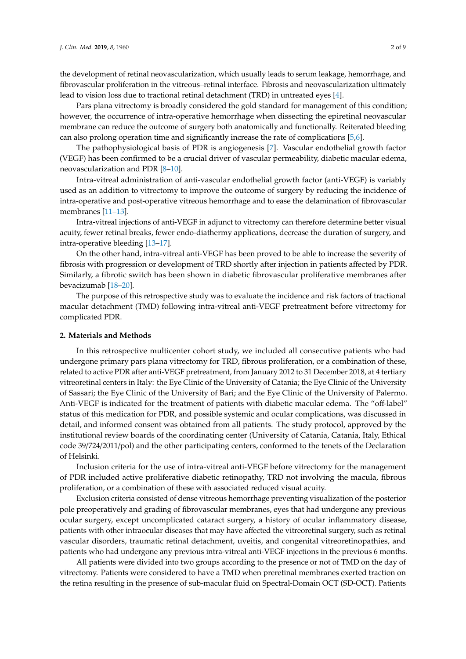the development of retinal neovascularization, which usually leads to serum leakage, hemorrhage, and fibrovascular proliferation in the vitreous–retinal interface. Fibrosis and neovascularization ultimately lead to vision loss due to tractional retinal detachment (TRD) in untreated eyes [\[4\]](#page-6-3).

Pars plana vitrectomy is broadly considered the gold standard for management of this condition; however, the occurrence of intra-operative hemorrhage when dissecting the epiretinal neovascular membrane can reduce the outcome of surgery both anatomically and functionally. Reiterated bleeding can also prolong operation time and significantly increase the rate of complications [\[5](#page-6-4)[,6\]](#page-6-5).

The pathophysiological basis of PDR is angiogenesis [\[7\]](#page-6-6). Vascular endothelial growth factor (VEGF) has been confirmed to be a crucial driver of vascular permeability, diabetic macular edema, neovascularization and PDR [\[8–](#page-6-7)[10\]](#page-6-8).

Intra-vitreal administration of anti-vascular endothelial growth factor (anti-VEGF) is variably used as an addition to vitrectomy to improve the outcome of surgery by reducing the incidence of intra-operative and post-operative vitreous hemorrhage and to ease the delamination of fibrovascular membranes [\[11–](#page-6-9)[13\]](#page-7-0).

Intra-vitreal injections of anti-VEGF in adjunct to vitrectomy can therefore determine better visual acuity, fewer retinal breaks, fewer endo-diathermy applications, decrease the duration of surgery, and intra-operative bleeding [\[13–](#page-7-0)[17\]](#page-7-1).

On the other hand, intra-vitreal anti-VEGF has been proved to be able to increase the severity of fibrosis with progression or development of TRD shortly after injection in patients affected by PDR. Similarly, a fibrotic switch has been shown in diabetic fibrovascular proliferative membranes after bevacizumab [\[18–](#page-7-2)[20\]](#page-7-3).

The purpose of this retrospective study was to evaluate the incidence and risk factors of tractional macular detachment (TMD) following intra-vitreal anti-VEGF pretreatment before vitrectomy for complicated PDR.

#### **2. Materials and Methods**

In this retrospective multicenter cohort study, we included all consecutive patients who had undergone primary pars plana vitrectomy for TRD, fibrous proliferation, or a combination of these, related to active PDR after anti-VEGF pretreatment, from January 2012 to 31 December 2018, at 4 tertiary vitreoretinal centers in Italy: the Eye Clinic of the University of Catania; the Eye Clinic of the University of Sassari; the Eye Clinic of the University of Bari; and the Eye Clinic of the University of Palermo. Anti-VEGF is indicated for the treatment of patients with diabetic macular edema. The "off-label" status of this medication for PDR, and possible systemic and ocular complications, was discussed in detail, and informed consent was obtained from all patients. The study protocol, approved by the institutional review boards of the coordinating center (University of Catania, Catania, Italy, Ethical code 39/724/2011/pol) and the other participating centers, conformed to the tenets of the Declaration of Helsinki.

Inclusion criteria for the use of intra-vitreal anti-VEGF before vitrectomy for the management of PDR included active proliferative diabetic retinopathy, TRD not involving the macula, fibrous proliferation, or a combination of these with associated reduced visual acuity.

Exclusion criteria consisted of dense vitreous hemorrhage preventing visualization of the posterior pole preoperatively and grading of fibrovascular membranes, eyes that had undergone any previous ocular surgery, except uncomplicated cataract surgery, a history of ocular inflammatory disease, patients with other intraocular diseases that may have affected the vitreoretinal surgery, such as retinal vascular disorders, traumatic retinal detachment, uveitis, and congenital vitreoretinopathies, and patients who had undergone any previous intra-vitreal anti-VEGF injections in the previous 6 months.

All patients were divided into two groups according to the presence or not of TMD on the day of vitrectomy. Patients were considered to have a TMD when preretinal membranes exerted traction on the retina resulting in the presence of sub-macular fluid on Spectral-Domain OCT (SD-OCT). Patients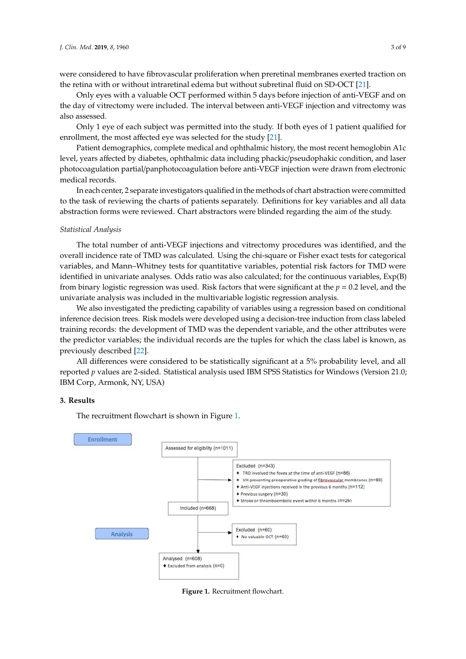were considered to have fibrovascular proliferation when preretinal membranes exerted traction on the retina with or without intraretinal edema but without subretinal fluid on SD-OCT [\[21\]](#page-7-4). Only 1 eye of each subject was permitted into the study. If both eyes of 1 patient qualified for

Only eyes with a valuable OCT performed within 5 days before injection of anti-VEGF and on the day of vitrectomy were included. The interval between anti-VEGF injection and vitrectomy was also assessed. also assessed. The photocoagulation partial partial partial partial partial in  $\mathbb{R}^n$ 

Only 1 eye of each subject was permitted into the study. If both eyes of 1 patient qualified for enrollment, [the](#page-7-4) most affected eye was selected for the study  $[21]$ .

Patient demographics, complete medical and ophthalmic history, the most recent hemoglobin A1c level, years affected by diabetes, ophthalmic data including phackic/pseudophakic condition, and laser photocoagulation partial/panphotocoagulation before anti-VEGF injection were drawn from electronic the study. medical records.

In each center, 2 separate investigators qualified in the methods of chart abstraction were committed *2.1 Statistical Analysis* to the task of reviewing the charts of patients separately. Definitions for key variables and all data abstraction forms were reviewed. Chart abstractors were blinded regarding the aim of the study.

#### *Statistical Analysis*  $\alpha$  and  $\alpha$  incidence rate of TMD was calculated. Using the chi-square or  $\beta$ categorical variables, and Mann–Whitney tests for quantitative variables, potential risk factors for

The total number of anti-VEGF injections and vitrectomy procedures was identified, and the overall incidence rate of TMD was calculated. Using the chi-square or Fisher exact tests for categorical variables, and Mann–Whitney tests for quantitative variables, potential risk factors for TMD were identified in univariate analyses. Odds ratio was also calculated; for the continuous variables, Exp(B) is a la from binary logistic regression was used. Risk factors that were significant at the *p* = 0.2 level, and the montromary logistic regression was used. Risk littles that were significant at the  $p = 0.2$  lever, and the univariate analysis was included in the multivariable logistic regression analysis.

we also investigated the predicting capability of variables using a regression based on conditional We also investigated the predicting capability of variables using a regression-based on conditional inference decision trees. Risk models were developed using a decision-tree induction from class labeled training records: the development of TMD was the dependent variable, and the other attributes were the predictor variables; the individual records are the tuples for which the class label is known, as previously described [22].

All differences were considered to be statistically significant at a 5% probability level, and all reported *p* values are 2-sided. Statistical analysis used IBM SPSS Statistics for Windows (Version 21.0; IBM Corp, Armonk, NY, USA)

# **3. Results 3. Results**

The recruitment flowchart is shown in Figure [1.](#page-2-0) The recruitment flowchart is shown in Figure 1.

<span id="page-2-0"></span>

**Figure 1.** Recruitment flowchart.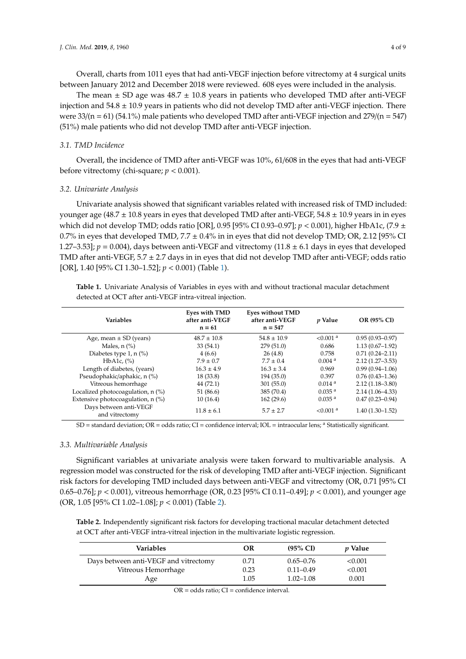Overall, charts from 1011 eyes that had anti-VEGF injection before vitrectomy at 4 surgical units between January 2012 and December 2018 were reviewed. 608 eyes were included in the analysis.

The mean  $\pm$  SD age was 48.7  $\pm$  10.8 years in patients who developed TMD after anti-VEGF injection and  $54.8 \pm 10.9$  years in patients who did not develop TMD after anti-VEGF injection. There were  $33/(n = 61)$  (54.1%) male patients who developed TMD after anti-VEGF injection and  $279/(n = 547)$ (51%) male patients who did not develop TMD after anti-VEGF injection.

#### *3.1. TMD Incidence*

Overall, the incidence of TMD after anti-VEGF was 10%, 61/608 in the eyes that had anti-VEGF before vitrectomy (chi-square; *p* < 0.001).

#### *3.2. Univariate Analysis*

Univariate analysis showed that significant variables related with increased risk of TMD included: younger age (48.7  $\pm$  10.8 years in eyes that developed TMD after anti-VEGF, 54.8  $\pm$  10.9 years in in eyes which did not develop TMD; odds ratio [OR], 0.95 [95% CI 0.93–0.97]; *p* < 0.001), higher HbA1c, (7.9 ± 0.7% in eyes that developed TMD,  $7.7 \pm 0.4$ % in in eyes that did not develop TMD; OR, 2.12 [95% CI 1.27–3.53];  $p = 0.004$ ), days between anti-VEGF and vitrectomy (11.8  $\pm$  6.1 days in eyes that developed TMD after anti-VEGF,  $5.7 \pm 2.7$  days in in eyes that did not develop TMD after anti-VEGF; odds ratio [OR], 1.40 [95% CI 1.30–1.52]; *p* < 0.001) (Table [1\)](#page-3-0).

<span id="page-3-0"></span>**Table 1.** Univariate Analysis of Variables in eyes with and without tractional macular detachment detected at OCT after anti-VEGF intra-vitreal injection.

| <b>Variables</b>                         | Eyes with TMD<br>after anti-VEGF<br>$n = 61$ | <b>Eyes without TMD</b><br>after anti-VEGF<br>$n = 547$ | <i>p</i> Value         | <b>OR (95% CI)</b>  |
|------------------------------------------|----------------------------------------------|---------------------------------------------------------|------------------------|---------------------|
| Age, mean $\pm$ SD (years)               | $48.7 \pm 10.8$                              | $54.8 \pm 10.9$                                         | $< 0.001$ <sup>a</sup> | $0.95(0.93 - 0.97)$ |
| Males, $n$ $\binom{0}{0}$                | 33(54.1)                                     | 279(51.0)                                               | 0.686                  | $1.13(0.67-1.92)$   |
| Diabetes type $1, n$ (%)                 | 4(6.6)                                       | 26(4.8)                                                 | 0.758                  | $0.71(0.24 - 2.11)$ |
| HbA1c, $(\%)$                            | $7.9 \pm 0.7$                                | $7.7 \pm 0.4$                                           | 0.004 <sup>a</sup>     | $2.12(1.27 - 3.53)$ |
| Length of diabetes, (years)              | $16.3 \pm 4.9$                               | $16.3 \pm 3.4$                                          | 0.969                  | $0.99(0.94 - 1.06)$ |
| Pseudophakic/aphakic, n (%)              | 18(33.8)                                     | 194 (35.0)                                              | 0.397                  | $0.76(0.43 - 1.36)$ |
| Vitreous hemorrhage                      | 44 (72.1)                                    | 301(55.0)                                               | $0.014$ <sup>a</sup>   | $2.12(1.18 - 3.80)$ |
| Localized photocoagulation, $n$ (%)      | 51 (86.6)                                    | 385 (70.4)                                              | 0.035 <sup>a</sup>     | $2.14(1.06 - 4.33)$ |
| Extensive photocoagulation, n (%)        | 10(16.4)                                     | 162(29.6)                                               | 0.035 <sup>a</sup>     | $0.47(0.23 - 0.94)$ |
| Days between anti-VEGF<br>and vitrectomy | $11.8 \pm 6.1$                               | $5.7 \pm 2.7$                                           | $< 0.001$ <sup>a</sup> | $1.40(1.30-1.52)$   |

 $SD =$  standard deviation;  $OR =$  odds ratio;  $CI =$  confidence interval;  $IOL =$  intraocular lens; <sup>a</sup> Statistically significant.

#### *3.3. Multivariable Analysis*

Significant variables at univariate analysis were taken forward to multivariable analysis. A regression model was constructed for the risk of developing TMD after anti-VEGF injection. Significant risk factors for developing TMD included days between anti-VEGF and vitrectomy (OR, 0.71 [95% CI 0.65–0.76]; *p* < 0.001), vitreous hemorrhage (OR, 0.23 [95% CI 0.11–0.49]; *p* < 0.001), and younger age (OR, 1.05 [95% CI 1.02–1.08]; *p* < 0.001) (Table [2\)](#page-3-1).

<span id="page-3-1"></span>**Table 2.** Independently significant risk factors for developing tractional macular detachment detected at OCT after anti-VEGF intra-vitreal injection in the multivariate logistic regression.

| Variables                             | OR   | $(95\% \text{ CI})$ | <i>v</i> Value |
|---------------------------------------|------|---------------------|----------------|
| Days between anti-VEGF and vitrectomy | 0.71 | $0.65 - 0.76$       | < 0.001        |
| Vitreous Hemorrhage                   | 0.23 | $0.11 - 0.49$       | < 0.001        |
| Age                                   | 1.05 | $1.02 - 1.08$       | 0.001          |

 $OR = odds ratio$ ;  $CI = confidence interval$ .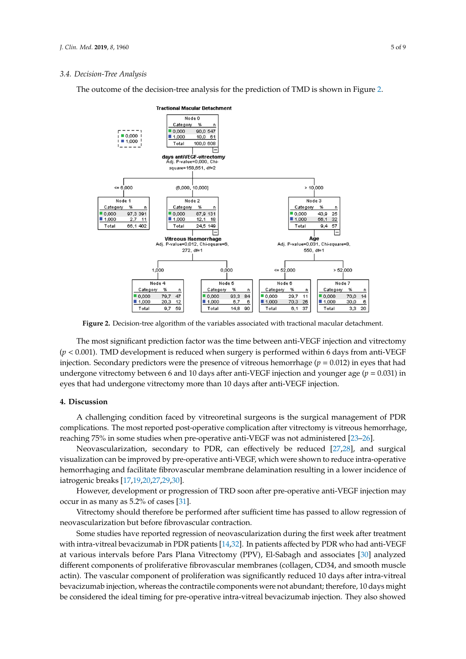## *3.4. Decision-Tree Analysis 3.4. Decision-Tree Analysis*

<span id="page-4-0"></span>The outcome of the decision-tree analysis for the prediction of TMD is shown in Figure [2.](#page-4-0) The outcome of the decision-tree analysis for the prediction of TMD is shown in Figure 2.



**Figure 2.** Decision-tree algorithm of the variables associated with tractional macular detachment.

 $(p < 0.001)$ . TMD development is reduced when surgery is performed within 6 days from anti-VEGF injection. Secondary predictors were the presence of vitreous hemorrhage ( $p = 0.012$ ) in eyes that had undergone vitrectomy between 6 and 10 days after anti-VEGF injection and younger age (*p* = 0.031) in eyes that had undergone vitrectomy more than 10 days after anti-VEGF injection. The most significant prediction factor was the time between anti-VEGF injection and vitrectomy

#### **4. Discussion**

A challenging condition faced by vitreoretinal surgeons is the surgical management of PDR complications. The most reported post-operative complication after vitrectomy is vitreous hemorrhage, reaching 75% in some studies when pre-operative anti-VEGF was not administered [\[23](#page-7-6)[–26\]](#page-7-7).

Neovascularization, secondary to PDR, can effectively be reduced [\[27](#page-7-8)[,28\]](#page-7-9), and surgical visualization can be improved by pre-operative anti-VEGF, which were shown to reduce intra-operative hemorrhaging and facilitate fibrovascular membrane delamination resulting in a lower incidence of iatrogenic breaks [\[17](#page-7-1)[,19](#page-7-10)[,20,](#page-7-3)[27](#page-7-8)[,29,](#page-7-11)[30\]](#page-7-12).

However, development or progression of TRD soon after pre-operative anti-VEGF injection may occur in as many as 5.2% of cases [\[31\]](#page-7-13).

Vitrectomy should therefore be performed after sufficient time has passed to allow regression of neovascularization but before fibrovascular contraction.

Some studies have reported regression of neovascularization during the first week after treatment with intra-vitreal bevacizumab in PDR patients [\[14](#page-7-14)[,32\]](#page-8-0). In patients affected by PDR who had anti-VEGF at various intervals before Pars Plana Vitrectomy (PPV), El-Sabagh and associates [\[30\]](#page-7-12) analyzed different components of proliferative fibrovascular membranes (collagen, CD34, and smooth muscle actin). The vascular component of proliferation was significantly reduced 10 days after intra-vitreal bevacizumab injection, whereas the contractile components were not abundant; therefore, 10 days might be considered the ideal timing for pre-operative intra-vitreal bevacizumab injection. They also showed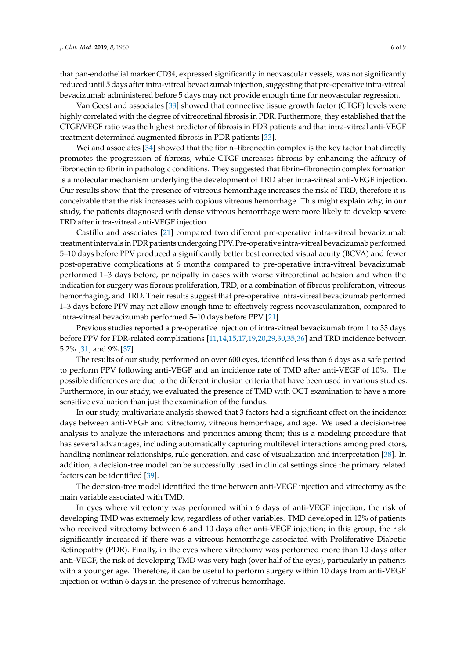that pan-endothelial marker CD34, expressed significantly in neovascular vessels, was not significantly reduced until 5 days after intra-vitreal bevacizumab injection, suggesting that pre-operative intra-vitreal bevacizumab administered before 5 days may not provide enough time for neovascular regression.

Van Geest and associates [\[33\]](#page-8-1) showed that connective tissue growth factor (CTGF) levels were highly correlated with the degree of vitreoretinal fibrosis in PDR. Furthermore, they established that the CTGF/VEGF ratio was the highest predictor of fibrosis in PDR patients and that intra-vitreal anti-VEGF treatment determined augmented fibrosis in PDR patients [\[33\]](#page-8-1).

Wei and associates [\[34\]](#page-8-2) showed that the fibrin–fibronectin complex is the key factor that directly promotes the progression of fibrosis, while CTGF increases fibrosis by enhancing the affinity of fibronectin to fibrin in pathologic conditions. They suggested that fibrin–fibronectin complex formation is a molecular mechanism underlying the development of TRD after intra-vitreal anti-VEGF injection. Our results show that the presence of vitreous hemorrhage increases the risk of TRD, therefore it is conceivable that the risk increases with copious vitreous hemorrhage. This might explain why, in our study, the patients diagnosed with dense vitreous hemorrhage were more likely to develop severe TRD after intra-vitreal anti-VEGF injection.

Castillo and associates [\[21\]](#page-7-4) compared two different pre-operative intra-vitreal bevacizumab treatment intervals in PDR patients undergoing PPV. Pre-operative intra-vitreal bevacizumab performed 5–10 days before PPV produced a significantly better best corrected visual acuity (BCVA) and fewer post-operative complications at 6 months compared to pre-operative intra-vitreal bevacizumab performed 1–3 days before, principally in cases with worse vitreoretinal adhesion and when the indication for surgery was fibrous proliferation, TRD, or a combination of fibrous proliferation, vitreous hemorrhaging, and TRD. Their results suggest that pre-operative intra-vitreal bevacizumab performed 1–3 days before PPV may not allow enough time to effectively regress neovascularization, compared to intra-vitreal bevacizumab performed 5–10 days before PPV [\[21\]](#page-7-4).

Previous studies reported a pre-operative injection of intra-vitreal bevacizumab from 1 to 33 days before PPV for PDR-related complications [\[11,](#page-6-9)[14,](#page-7-14)[15,](#page-7-15)[17,](#page-7-1)[19](#page-7-10)[,20](#page-7-3)[,29](#page-7-11)[,30](#page-7-12)[,35](#page-8-3)[,36\]](#page-8-4) and TRD incidence between 5.2% [\[31\]](#page-7-13) and 9% [\[37\]](#page-8-5).

The results of our study, performed on over 600 eyes, identified less than 6 days as a safe period to perform PPV following anti-VEGF and an incidence rate of TMD after anti-VEGF of 10%. The possible differences are due to the different inclusion criteria that have been used in various studies. Furthermore, in our study, we evaluated the presence of TMD with OCT examination to have a more sensitive evaluation than just the examination of the fundus.

In our study, multivariate analysis showed that 3 factors had a significant effect on the incidence: days between anti-VEGF and vitrectomy, vitreous hemorrhage, and age. We used a decision-tree analysis to analyze the interactions and priorities among them; this is a modeling procedure that has several advantages, including automatically capturing multilevel interactions among predictors, handling nonlinear relationships, rule generation, and ease of visualization and interpretation [\[38\]](#page-8-6). In addition, a decision-tree model can be successfully used in clinical settings since the primary related factors can be identified [\[39\]](#page-8-7).

The decision-tree model identified the time between anti-VEGF injection and vitrectomy as the main variable associated with TMD.

In eyes where vitrectomy was performed within 6 days of anti-VEGF injection, the risk of developing TMD was extremely low, regardless of other variables. TMD developed in 12% of patients who received vitrectomy between 6 and 10 days after anti-VEGF injection; in this group, the risk significantly increased if there was a vitreous hemorrhage associated with Proliferative Diabetic Retinopathy (PDR). Finally, in the eyes where vitrectomy was performed more than 10 days after anti-VEGF, the risk of developing TMD was very high (over half of the eyes), particularly in patients with a younger age. Therefore, it can be useful to perform surgery within 10 days from anti-VEGF injection or within 6 days in the presence of vitreous hemorrhage.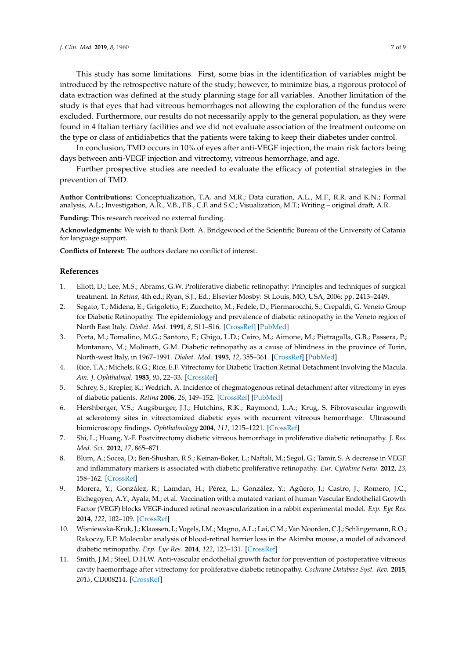This study has some limitations. First, some bias in the identification of variables might be introduced by the retrospective nature of the study; however, to minimize bias, a rigorous protocol of data extraction was defined at the study planning stage for all variables. Another limitation of the study is that eyes that had vitreous hemorrhages not allowing the exploration of the fundus were excluded. Furthermore, our results do not necessarily apply to the general population, as they were found in 4 Italian tertiary facilities and we did not evaluate association of the treatment outcome on the type or class of antidiabetics that the patients were taking to keep their diabetes under control.

In conclusion, TMD occurs in 10% of eyes after anti-VEGF injection, the main risk factors being days between anti-VEGF injection and vitrectomy, vitreous hemorrhage, and age.

Further prospective studies are needed to evaluate the efficacy of potential strategies in the prevention of TMD.

**Author Contributions:** Conceptualization, T.A. and M.R.; Data curation, A.L., M.F., R.R. and K.N.; Formal analysis, A.L.; Investigation, A.R., V.B., F.B., C.F. and S.C.; Visualization, M.T.; Writing – original draft, A.R.

**Funding:** This research received no external funding.

**Acknowledgments:** We wish to thank Dott. A. Bridgewood of the Scientific Bureau of the University of Catania for language support.

**Conflicts of Interest:** The authors declare no conflict of interest.

#### **References**

- <span id="page-6-0"></span>1. Eliott, D.; Lee, M.S.; Abrams, G.W. Proliferative diabetic retinopathy: Principles and techniques of surgical treatment. In *Retina*, 4th ed.; Ryan, S.J., Ed.; Elsevier Mosby: St Louis, MO, USA, 2006; pp. 2413–2449.
- <span id="page-6-1"></span>2. Segato, T.; Midena, E.; Grigoletto, F.; Zucchetto, M.; Fedele, D.; Piermarocchi, S.; Crepaldi, G. Veneto Group for Diabetic Retinopathy. The epidemiology and prevalence of diabetic retinopathy in the Veneto region of North East Italy. *Diabet. Med.* **1991**, *8*, S11–S16. [\[CrossRef\]](http://dx.doi.org/10.1111/j.1464-5491.1991.tb02149.x) [\[PubMed\]](http://www.ncbi.nlm.nih.gov/pubmed/1825948)
- <span id="page-6-2"></span>3. Porta, M.; Tomalino, M.G.; Santoro, F.; Ghigo, L.D.; Cairo, M.; Aimone, M.; Pietragalla, G.B.; Passera, P.; Montanaro, M.; Molinatti, G.M. Diabetic retinopathy as a cause of blindness in the province of Turin, North-west Italy, in 1967–1991. *Diabet. Med.* **1995**, *12*, 355–361. [\[CrossRef\]](http://dx.doi.org/10.1111/j.1464-5491.1995.tb00492.x) [\[PubMed\]](http://www.ncbi.nlm.nih.gov/pubmed/7600754)
- <span id="page-6-3"></span>4. Rice, T.A.; Michels, R.G.; Rice, E.F. Vitrectomy for Diabetic Traction Retinal Detachment Involving the Macula. *Am. J. Ophthalmol.* **1983**, *95*, 22–33. [\[CrossRef\]](http://dx.doi.org/10.1016/0002-9394(83)90330-6)
- <span id="page-6-4"></span>5. Schrey, S.; Krepler, K.; Wedrich, A. Incidence of rhegmatogenous retinal detachment after vitrectomy in eyes of diabetic patients. *Retina* **2006**, *26*, 149–152. [\[CrossRef\]](http://dx.doi.org/10.1097/00006982-200602000-00004) [\[PubMed\]](http://www.ncbi.nlm.nih.gov/pubmed/16467669)
- <span id="page-6-5"></span>6. Hershberger, V.S.; Augsburger, J.J.; Hutchins, R.K.; Raymond, L.A.; Krug, S. Fibrovascular ingrowth at sclerotomy sites in vitrectomized diabetic eyes with recurrent vitreous hemorrhage: Ultrasound biomicroscopy findings. *Ophthalmology* **2004**, *111*, 1215–1221. [\[CrossRef\]](http://dx.doi.org/10.1016/j.ophtha.2003.08.043)
- <span id="page-6-6"></span>7. Shi, L.; Huang, Y.-F. Postvitrectomy diabetic vitreous hemorrhage in proliferative diabetic retinopathy. *J. Res. Med. Sci.* **2012**, *17*, 865–871.
- <span id="page-6-7"></span>8. Blum, A.; Socea, D.; Ben-Shushan, R.S.; Keinan-Boker, L.; Naftali, M.; Segol, G.; Tamir, S. A decrease in VEGF and inflammatory markers is associated with diabetic proliferative retinopathy. *Eur. Cytokine Netw.* **2012**, *23*, 158–162. [\[CrossRef\]](http://dx.doi.org/10.1684/ecn.2012.0321)
- 9. Morera, Y.; González, R.; Lamdan, H.; Pérez, L.; González, Y.; Agüero, J.; Castro, J.; Romero, J.C.; Etchegoyen, A.Y.; Ayala, M.; et al. Vaccination with a mutated variant of human Vascular Endothelial Growth Factor (VEGF) blocks VEGF-induced retinal neovascularization in a rabbit experimental model. *Exp. Eye Res.* **2014**, *122*, 102–109. [\[CrossRef\]](http://dx.doi.org/10.1016/j.exer.2014.03.006)
- <span id="page-6-8"></span>10. Wisniewska-Kruk, J.; Klaassen, I.; Vogels, I.M.; Magno, A.L.; Lai, C.M.; Van Noorden, C.J.; Schlingemann, R.O.; Rakoczy, E.P. Molecular analysis of blood-retinal barrier loss in the Akimba mouse, a model of advanced diabetic retinopathy. *Exp. Eye Res.* **2014**, *122*, 123–131. [\[CrossRef\]](http://dx.doi.org/10.1016/j.exer.2014.03.005)
- <span id="page-6-9"></span>11. Smith, J.M.; Steel, D.H.W. Anti-vascular endothelial growth factor for prevention of postoperative vitreous cavity haemorrhage after vitrectomy for proliferative diabetic retinopathy. *Cochrane Database Syst. Rev.* **2015**, *2015*, CD008214. [\[CrossRef\]](http://dx.doi.org/10.1002/14651858.CD008214.pub3)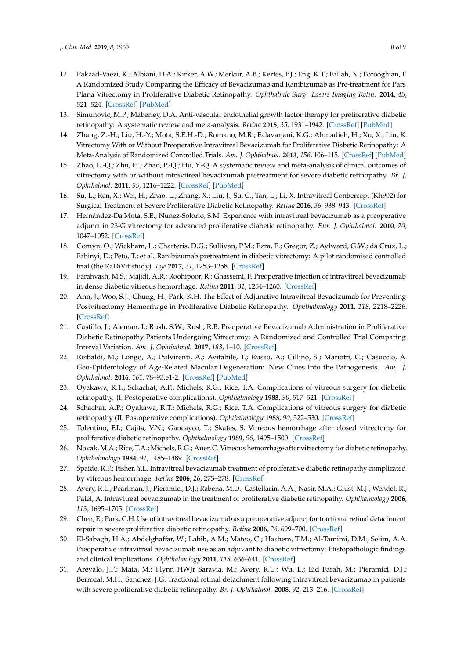- 12. Pakzad-Vaezi, K.; Albiani, D.A.; Kirker, A.W.; Merkur, A.B.; Kertes, P.J.; Eng, K.T.; Fallah, N.; Forooghian, F. A Randomized Study Comparing the Efficacy of Bevacizumab and Ranibizumab as Pre-treatment for Pars Plana Vitrectomy in Proliferative Diabetic Retinopathy. *Ophthalmic Surg. Lasers Imaging Retin.* **2014**, *45*, 521–524. [\[CrossRef\]](http://dx.doi.org/10.3928/23258160-20141118-06) [\[PubMed\]](http://www.ncbi.nlm.nih.gov/pubmed/25423631)
- <span id="page-7-0"></span>13. Simunovic, M.P.; Maberley, D.A. Anti-vascular endothelial growth factor therapy for proliferative diabetic retinopathy: A systematic review and meta-analysis. *Retina* **2015**, *35*, 1931–1942. [\[CrossRef\]](http://dx.doi.org/10.1097/IAE.0000000000000723) [\[PubMed\]](http://www.ncbi.nlm.nih.gov/pubmed/26398553)
- <span id="page-7-14"></span>14. Zhang, Z.-H.; Liu, H.-Y.; Mota, S.E.H.-D.; Romano, M.R.; Falavarjani, K.G.; Ahmadieh, H.; Xu, X.; Liu, K. Vitrectomy With or Without Preoperative Intravitreal Bevacizumab for Proliferative Diabetic Retinopathy: A Meta-Analysis of Randomized Controlled Trials. *Am. J. Ophthalmol.* **2013**, *156*, 106–115. [\[CrossRef\]](http://dx.doi.org/10.1016/j.ajo.2013.02.008) [\[PubMed\]](http://www.ncbi.nlm.nih.gov/pubmed/23791371)
- <span id="page-7-15"></span>15. Zhao, L.-Q.; Zhu, H.; Zhao, P.-Q.; Hu, Y.-Q. A systematic review and meta-analysis of clinical outcomes of vitrectomy with or without intravitreal bevacizumab pretreatment for severe diabetic retinopathy. *Br. J. Ophthalmol.* **2011**, *95*, 1216–1222. [\[CrossRef\]](http://dx.doi.org/10.1136/bjo.2010.189514) [\[PubMed\]](http://www.ncbi.nlm.nih.gov/pubmed/21278146)
- 16. Su, L.; Ren, X.; Wei, H.; Zhao, L.; Zhang, X.; Liu, J.; Su, C.; Tan, L.; Li, X. Intravitreal Conbercept (Kh902) for Surgical Treatment of Severe Proliferative Diabetic Retinopathy. *Retina* **2016**, *36*, 938–943. [\[CrossRef\]](http://dx.doi.org/10.1097/IAE.0000000000000900)
- <span id="page-7-1"></span>17. Hernández-Da Mota, S.E.; Nuñez-Solorio, S.M. Experience with intravitreal bevacizumab as a preoperative adjunct in 23-G vitrectomy for advanced proliferative diabetic retinopathy. *Eur. J. Ophthalmol.* **2010**, *20*, 1047–1052. [\[CrossRef\]](http://dx.doi.org/10.1177/112067211002000604)
- <span id="page-7-2"></span>18. Comyn, O.; Wickham, L.; Charteris, D.G.; Sullivan, P.M.; Ezra, E.; Gregor, Z.; Aylward, G.W.; da Cruz, L.; Fabinyi, D.; Peto, T.; et al. Ranibizumab pretreatment in diabetic vitrectomy: A pilot randomised controlled trial (the RaDiVit study). *Eye* **2017**, *31*, 1253–1258. [\[CrossRef\]](http://dx.doi.org/10.1038/eye.2017.75)
- <span id="page-7-10"></span>19. Farahvash, M.S.; Majidi, A.R.; Roohipoor, R.; Ghassemi, F. Preoperative injection of intravitreal bevacizumab in dense diabetic vitreous hemorrhage. *Retina* **2011**, *31*, 1254–1260. [\[CrossRef\]](http://dx.doi.org/10.1097/IAE.0b013e31820a68e5)
- <span id="page-7-3"></span>20. Ahn, J.; Woo, S.J.; Chung, H.; Park, K.H. The Effect of Adjunctive Intravitreal Bevacizumab for Preventing Postvitrectomy Hemorrhage in Proliferative Diabetic Retinopathy. *Ophthalmology* **2011**, *118*, 2218–2226. [\[CrossRef\]](http://dx.doi.org/10.1016/j.ophtha.2011.03.036)
- <span id="page-7-4"></span>21. Castillo, J.; Aleman, I.; Rush, S.W.; Rush, R.B. Preoperative Bevacizumab Administration in Proliferative Diabetic Retinopathy Patients Undergoing Vitrectomy: A Randomized and Controlled Trial Comparing Interval Variation. *Am. J. Ophthalmol.* **2017**, *183*, 1–10. [\[CrossRef\]](http://dx.doi.org/10.1016/j.ajo.2017.08.013)
- <span id="page-7-5"></span>22. Reibaldi, M.; Longo, A.; Pulvirenti, A.; Avitabile, T.; Russo, A.; Cillino, S.; Mariotti, C.; Casuccio, A. Geo-Epidemiology of Age-Related Macular Degeneration: New Clues Into the Pathogenesis. *Am. J. Ophthalmol.* **2016**, *161*, 78–93.e1-2. [\[CrossRef\]](http://dx.doi.org/10.1016/j.ajo.2015.09.031) [\[PubMed\]](http://www.ncbi.nlm.nih.gov/pubmed/26432929)
- <span id="page-7-6"></span>23. Oyakawa, R.T.; Schachat, A.P.; Michels, R.G.; Rice, T.A. Complications of vitreous surgery for diabetic retinopathy. (I. Postoperative complications). *Ophthalmology* **1983**, *90*, 517–521. [\[CrossRef\]](http://dx.doi.org/10.1016/S0161-6420(83)34526-7)
- 24. Schachat, A.P.; Oyakawa, R.T.; Michels, R.G.; Rice, T.A. Complications of vitreous surgery for diabetic retinopathy (II. Postoperative complications). *Ophthalmology* **1983**, *90*, 522–530. [\[CrossRef\]](http://dx.doi.org/10.1016/S0161-6420(83)34540-1)
- 25. Tolentino, F.I.; Cajita, V.N.; Gancayco, T.; Skates, S. Vitreous hemorrhage after closed vitrectomy for proliferative diabetic retinopathy. *Ophthalmology* **1989**, *96*, 1495–1500. [\[CrossRef\]](http://dx.doi.org/10.1016/S0161-6420(89)32700-X)
- <span id="page-7-7"></span>26. Novak, M.A.; Rice, T.A.; Michels, R.G.; Auer, C. Vitreous hemorrhage after vitrectomy for diabetic retinopathy. *Ophthalmology* **1984**, *91*, 1485–1489. [\[CrossRef\]](http://dx.doi.org/10.1016/S0161-6420(84)34099-4)
- <span id="page-7-8"></span>27. Spaide, R.F.; Fisher, Y.L. Intravitreal bevacizumab treatment of proliferative diabetic retinopathy complicated by vitreous hemorrhage. *Retina* **2006**, *26*, 275–278. [\[CrossRef\]](http://dx.doi.org/10.1097/00006982-200603000-00004)
- <span id="page-7-9"></span>28. Avery, R.L.; Pearlman, J.; Pieramici, D.J.; Rabena, M.D.; Castellarin, A.A.; Nasir, M.A.; Giust, M.J.; Wendel, R.; Patel, A. Intravitreal bevacizumab in the treatment of proliferative diabetic retinopathy. *Ophthalmology* **2006**, *113*, 1695–1705. [\[CrossRef\]](http://dx.doi.org/10.1016/j.ophtha.2006.05.064)
- <span id="page-7-11"></span>29. Chen, E.; Park, C.H. Use of intravitreal bevacizumab as a preoperative adjunct for tractional retinal detachment repair in severe proliferative diabetic retinopathy. *Retina* **2006**, *26*, 699–700. [\[CrossRef\]](http://dx.doi.org/10.1097/01.iae.0000225351.87205.69)
- <span id="page-7-12"></span>30. El-Sabagh, H.A.; Abdelghaffar, W.; Labib, A.M.; Mateo, C.; Hashem, T.M.; Al-Tamimi, D.M.; Selim, A.A. Preoperative intravitreal bevacizumab use as an adjuvant to diabetic vitrectomy: Histopathologic findings and clinical implications. *Ophthalmology* **2011**, *118*, 636–641. [\[CrossRef\]](http://dx.doi.org/10.1016/j.ophtha.2010.08.038)
- <span id="page-7-13"></span>31. Arevalo, J.F.; Maia, M.; Flynn HWJr Saravia, M.; Avery, R.L.; Wu, L.; Eid Farah, M.; Pieramici, D.J.; Berrocal, M.H.; Sanchez, J.G. Tractional retinal detachment following intravitreal bevacizumab in patients with severe proliferative diabetic retinopathy. *Br. J. Ophthalmol.* **2008**, *92*, 213–216. [\[CrossRef\]](http://dx.doi.org/10.1136/bjo.2007.127142)